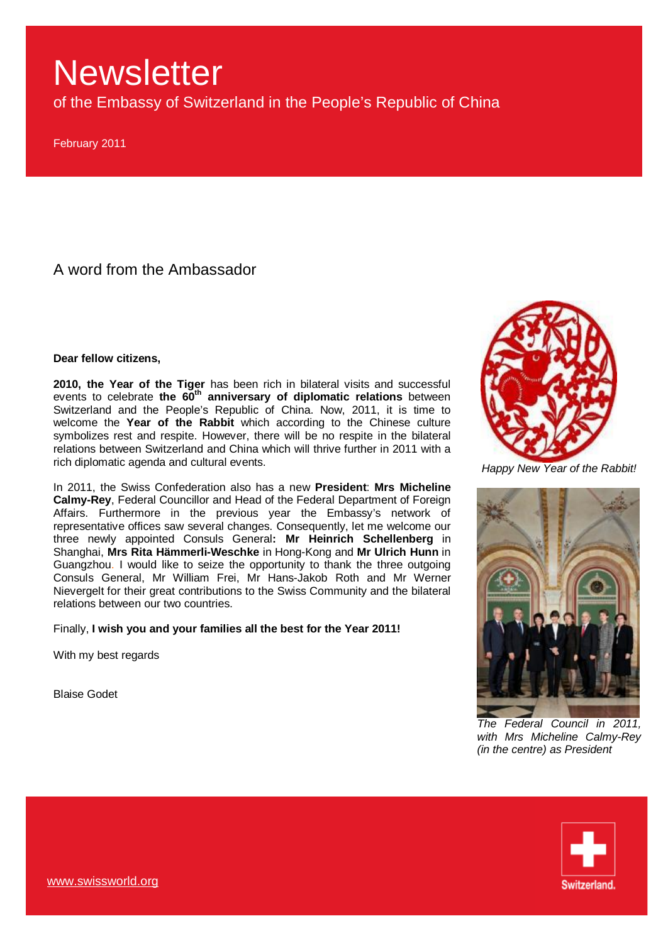of the Embassy of Switzerland in the People's Republic of China

February 2011

A word from the Ambassador

**Dear fellow citizens,** 

**2010, the Year of the Tiger** has been rich in bilateral visits and successful events to celebrate **the 60th anniversary of diplomatic relations** between Switzerland and the People's Republic of China. Now, 2011, it is time to welcome the **Year of the Rabbit** which according to the Chinese culture symbolizes rest and respite. However, there will be no respite in the bilateral relations between Switzerland and China which will thrive further in 2011 with a rich diplomatic agenda and cultural events.

In 2011, the Swiss Confederation also has a new **President**: **Mrs Micheline Calmy-Rey**, Federal Councillor and Head of the Federal Department of Foreign Affairs. Furthermore in the previous year the Embassy's network of representative offices saw several changes. Consequently, let me welcome our three newly appointed Consuls General**: Mr Heinrich Schellenberg** in Shanghai, **Mrs Rita Hämmerli-Weschke** in Hong-Kong and **Mr Ulrich Hunn** in Guangzhou. I would like to seize the opportunity to thank the three outgoing Consuls General, Mr William Frei, Mr Hans-Jakob Roth and Mr Werner Nievergelt for their great contributions to the Swiss Community and the bilateral relations between our two countries.

Finally, **I wish you and your families all the best for the Year 2011!**

With my best regards

Blaise Godet



*Happy New Year of the Rabbit!*



*The Federal Council in 2011, with Mrs Micheline Calmy-Rey (in the centre) as President* 

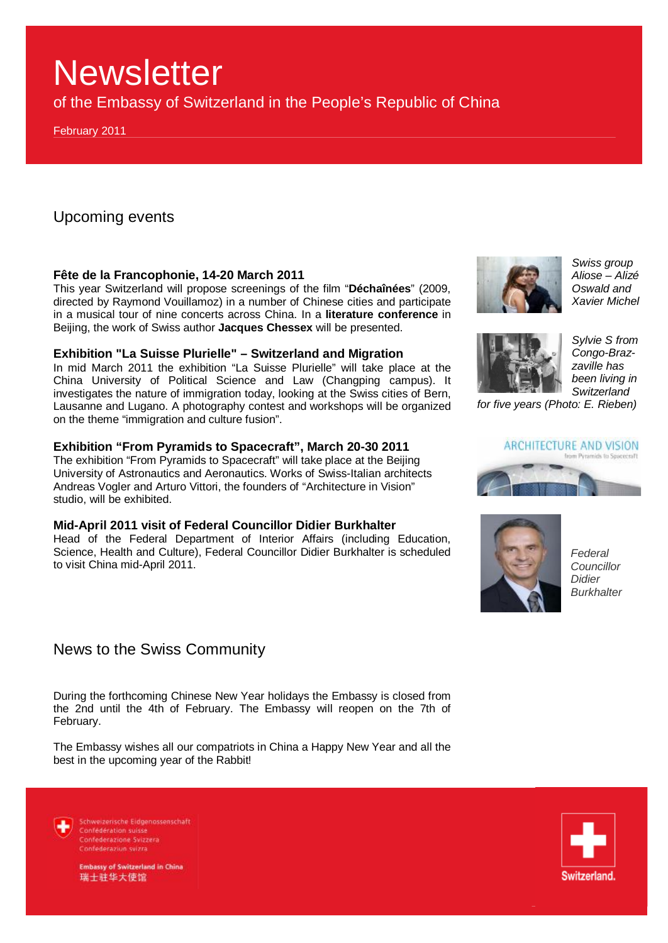of the Embassy of Switzerland in the People's Republic of China

February 2011

Upcoming events

### **Fête de la Francophonie, 14-20 March 2011**

This year Switzerland will propose screenings of the film "**Déchaînées**" (2009, directed by Raymond Vouillamoz) in a number of Chinese cities and participate in a musical tour of nine concerts across China. In a **literature conference** in Beijing, the work of Swiss author **Jacques Chessex** will be presented.

### **Exhibition "La Suisse Plurielle" – Switzerland and Migration**

In mid March 2011 the exhibition "La Suisse Plurielle" will take place at the China University of Political Science and Law (Changping campus). It investigates the nature of immigration today, looking at the Swiss cities of Bern, Lausanne and Lugano. A photography contest and workshops will be organized on the theme "immigration and culture fusion".

### **Exhibition "From Pyramids to Spacecraft", March 20-30 2011**

The exhibition "From Pyramids to Spacecraft" will take place at the Beijing University of Astronautics and Aeronautics. Works of Swiss-Italian architects Andreas Vogler and Arturo Vittori, the founders of "Architecture in Vision" studio, will be exhibited.

### **Mid-April 2011 visit of Federal Councillor Didier Burkhalter**

Head of the Federal Department of Interior Affairs (including Education, Science, Health and Culture), Federal Councillor Didier Burkhalter is scheduled to visit China mid-April 2011.

# News to the Swiss Community

During the forthcoming Chinese New Year holidays the Embassy is closed from the 2nd until the 4th of February. The Embassy will reopen on the 7th of February.

The Embassy wishes all our compatriots in China a Happy New Year and all the best in the upcoming year of the Rabbit!

Schweizerische Eidgenossenschaft Confédération suisse Confederazione Svizzera Confederaziun svizra



**Embassy of Switzerland in China** 瑞士驻华大使馆

*Swiss group Aliose – Alizé Oswald and Xavier Michel*



*Sylvie S from Congo-Brazzaville has been living in Switzerland* 

*for five years (Photo: E. Rieben)*

## ARCHITECTURE AND VISION





*Federal Councillor Didier Burkhalter* 

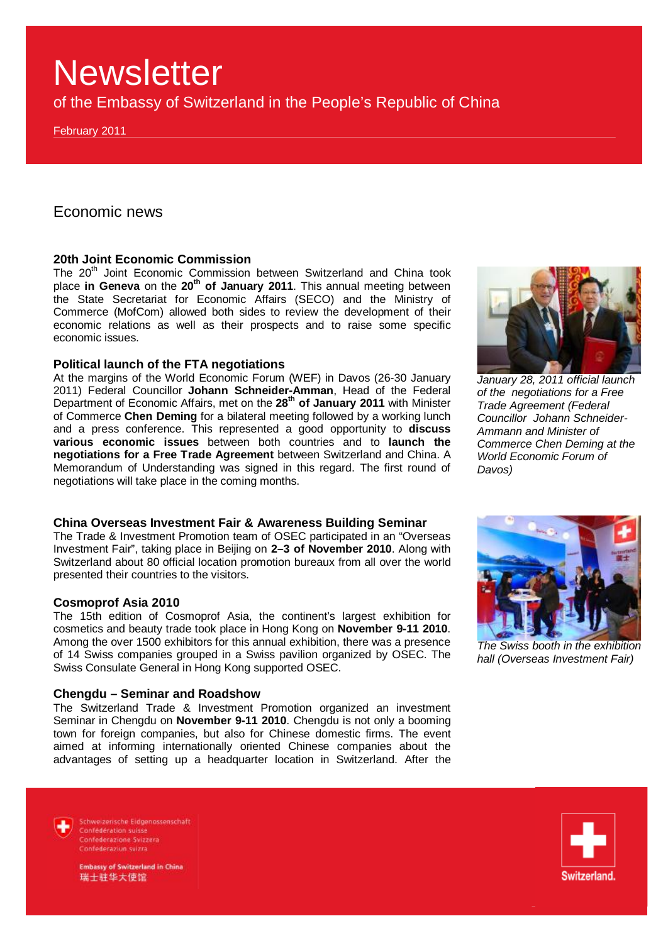of the Embassy of Switzerland in the People's Republic of China

February 2011

## Economic news

## **20th Joint Economic Commission**

The 20<sup>th</sup> Joint Economic Commission between Switzerland and China took place **in Geneva** on the **20th of January 2011**. This annual meeting between the State Secretariat for Economic Affairs (SECO) and the Ministry of Commerce (MofCom) allowed both sides to review the development of their economic relations as well as their prospects and to raise some specific economic issues.

#### **Political launch of the FTA negotiations**

At the margins of the World Economic Forum (WEF) in Davos (26-30 January 2011) Federal Councillor **Johann Schneider-Amman**, Head of the Federal Department of Economic Affairs, met on the **28th of January 2011** with Minister of Commerce **Chen Deming** for a bilateral meeting followed by a working lunch and a press conference. This represented a good opportunity to **discuss various economic issues** between both countries and to **launch the negotiations for a Free Trade Agreement** between Switzerland and China. A Memorandum of Understanding was signed in this regard. The first round of negotiations will take place in the coming months.



The Trade & Investment Promotion team of OSEC participated in an "Overseas Investment Fair", taking place in Beijing on **2–3 of November 2010**. Along with Switzerland about 80 official location promotion bureaux from all over the world presented their countries to the visitors.

#### **Cosmoprof Asia 2010**

The 15th edition of Cosmoprof Asia, the continent's largest exhibition for cosmetics and beauty trade took place in Hong Kong on **November 9-11 2010**. Among the over 1500 exhibitors for this annual exhibition, there was a presence of 14 Swiss companies grouped in a Swiss pavilion organized by OSEC. The Swiss Consulate General in Hong Kong supported OSEC.

#### **Chengdu – Seminar and Roadshow**

The Switzerland Trade & Investment Promotion organized an investment Seminar in Chengdu on **November 9-11 2010**. Chengdu is not only a booming town for foreign companies, but also for Chinese domestic firms. The event aimed at informing internationally oriented Chinese companies about the advantages of setting up a headquarter location in Switzerland. After the



*January 28, 2011 official launch of the negotiations for a Free Trade Agreement (Federal Councillor Johann Schneider-Ammann and Minister of Commerce Chen Deming at the World Economic Forum of Davos)* 



*The Swiss booth in the exhibition hall (Overseas Investment Fair)* 

Schweizerische Eidgenossenschaft Confédération suisse Confederazione Svizzera Confederaziun svizra

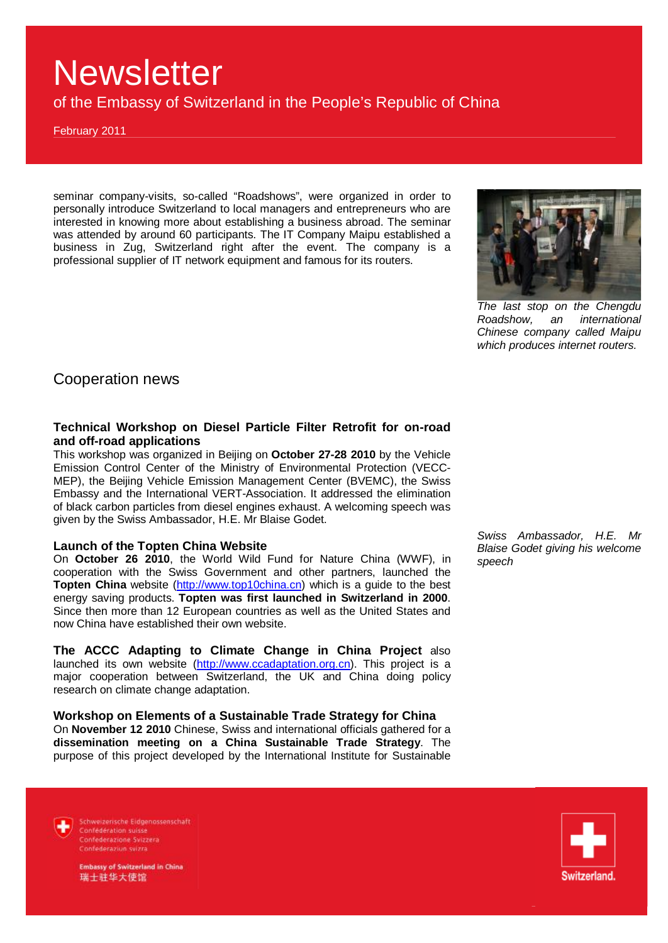of the Embassy of Switzerland in the People's Republic of China

February 2011

seminar company-visits, so-called "Roadshows", were organized in order to personally introduce Switzerland to local managers and entrepreneurs who are interested in knowing more about establishing a business abroad. The seminar was attended by around 60 participants. The IT Company Maipu established a business in Zug, Switzerland right after the event. The company is a professional supplier of IT network equipment and famous for its routers.



*The last stop on the Chengdu Roadshow, an international Chinese company called Maipu which produces internet routers.*

Cooperation news

### **Technical Workshop on Diesel Particle Filter Retrofit for on-road and off-road applications**

This workshop was organized in Beijing on **October 27-28 2010** by the Vehicle Emission Control Center of the Ministry of Environmental Protection (VECC-MEP), the Beijing Vehicle Emission Management Center (BVEMC), the Swiss Embassy and the International VERT-Association. It addressed the elimination of black carbon particles from diesel engines exhaust. A welcoming speech was given by the Swiss Ambassador, H.E. Mr Blaise Godet.

### **Launch of the Topten China Website**

On **October 26 2010**, the World Wild Fund for Nature China (WWF), in cooperation with the Swiss Government and other partners, launched the **Topten China** website [\(http://www.top10china.cn\)](http://www.top10china.cn) which is a guide to the best energy saving products. **Topten was first launched in Switzerland in 2000**. Since then more than 12 European countries as well as the United States and now China have established their own website.

**The ACCC Adapting to Climate Change in China Project** also launched its own website [\(http://www.ccadaptation.org.cn](http://www.ccadaptation.org.cn)). This project is a major cooperation between Switzerland, the UK and China doing policy research on climate change adaptation.

**Workshop on Elements of a Sustainable Trade Strategy for China**  On **November 12 2010** Chinese, Swiss and international officials gathered for a **dissemination meeting on a China Sustainable Trade Strategy**. The purpose of this project developed by the International Institute for Sustainable *Swiss Ambassador, H.E. Mr Blaise Godet giving his welcome speech* 

Switzerland.



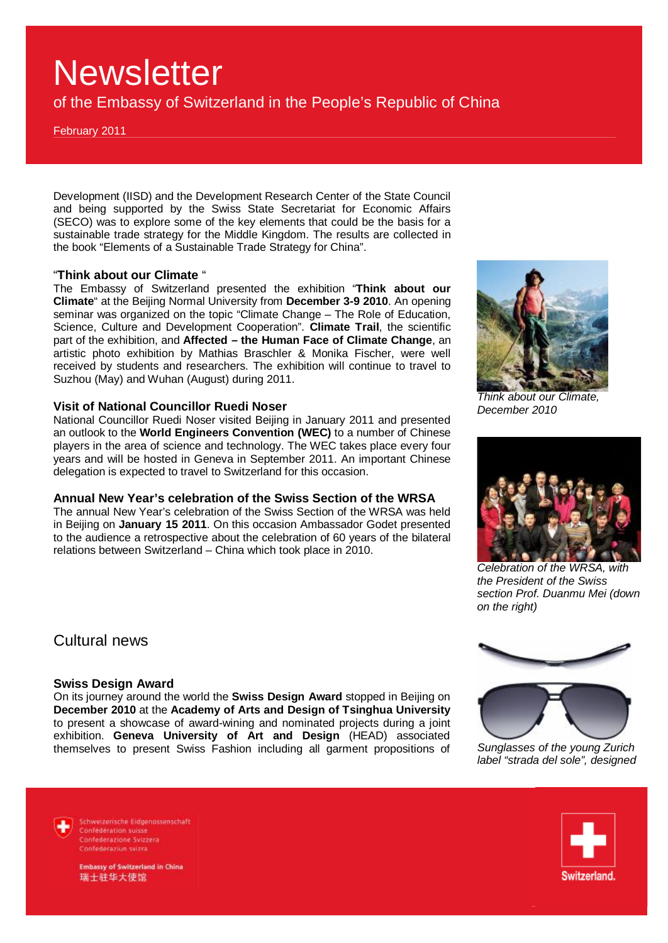of the Embassy of Switzerland in the People's Republic of China

February 2011

Development (IISD) and the Development Research Center of the State Council and being supported by the Swiss State Secretariat for Economic Affairs (SECO) was to explore some of the key elements that could be the basis for a sustainable trade strategy for the Middle Kingdom. The results are collected in the book "Elements of a Sustainable Trade Strategy for China".

#### "**Think about our Climate** "

The Embassy of Switzerland presented the exhibition "**Think about our Climate**" at the Beijing Normal University from **December 3-9 2010**. An opening seminar was organized on the topic "Climate Change – The Role of Education, Science, Culture and Development Cooperation". **Climate Trail**, the scientific part of the exhibition, and **Affected – the Human Face of Climate Change**, an artistic photo exhibition by Mathias Braschler & Monika Fischer, were well received by students and researchers. The exhibition will continue to travel to Suzhou (May) and Wuhan (August) during 2011.

#### **Visit of National Councillor Ruedi Noser**

National Councillor Ruedi Noser visited Beijing in January 2011 and presented an outlook to the **World Engineers Convention (WEC)** to a number of Chinese players in the area of science and technology. The WEC takes place every four years and will be hosted in Geneva in September 2011. An important Chinese delegation is expected to travel to Switzerland for this occasion.

#### **Annual New Year's celebration of the Swiss Section of the WRSA**

The annual New Year's celebration of the Swiss Section of the WRSA was held in Beijing on **January 15 2011**. On this occasion Ambassador Godet presented to the audience a retrospective about the celebration of 60 years of the bilateral relations between Switzerland – China which took place in 2010.

*Think about our Climate, December 2010* 



*Celebration of the WRSA, with the President of the Swiss section Prof. Duanmu Mei (down on the right)* 

Cultural news

#### **Swiss Design Award**

On its journey around the world the **Swiss Design Award** stopped in Beijing on **December 2010** at the **Academy of Arts and Design of Tsinghua University** to present a showcase of award-wining and nominated projects during a joint exhibition. **Geneva University of Art and Design** (HEAD) associated themselves to present Swiss Fashion including all garment propositions of *Sunglasses of the young Zurich* 



*label "strada del sole", designed* 

Schweizerische Eidgenossenschaft Confédération suisse Confederazione Svizzera Confederaziun svizra

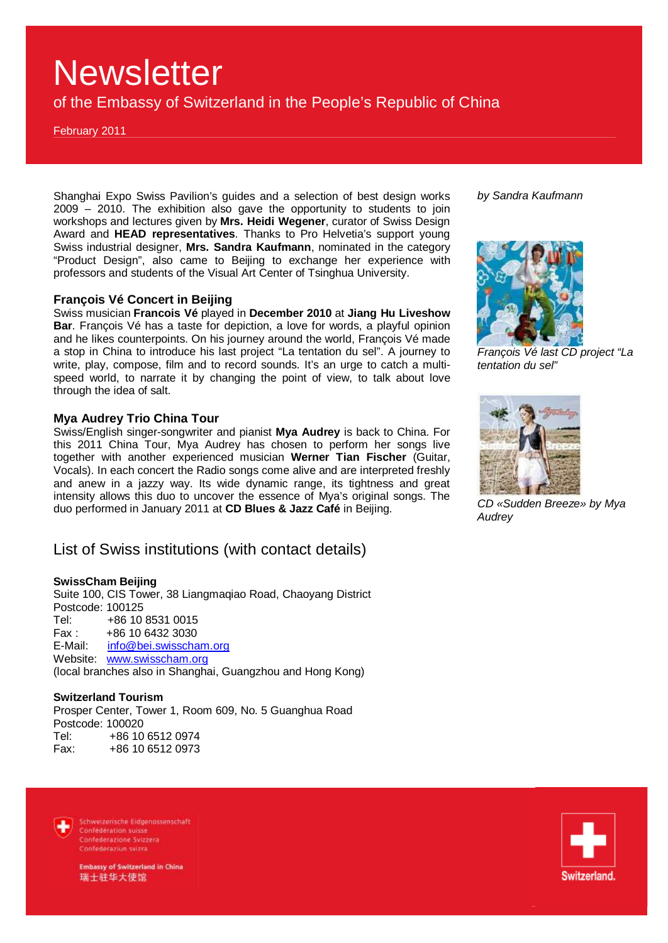of the Embassy of Switzerland in the People's Republic of China

February 2011

Shanghai Expo Swiss Pavilion's guides and a selection of best design works 2009 – 2010. The exhibition also gave the opportunity to students to join workshops and lectures given by **Mrs. Heidi Wegener**, curator of Swiss Design Award and **HEAD representatives**. Thanks to Pro Helvetia's support young Swiss industrial designer, **Mrs. Sandra Kaufmann**, nominated in the category "Product Design", also came to Beijing to exchange her experience with professors and students of the Visual Art Center of Tsinghua University.

#### **François Vé Concert in Beijing**

Swiss musician **Francois Vé** played in **December 2010** at **Jiang Hu Liveshow Bar**. François Vé has a taste for depiction, a love for words, a playful opinion and he likes counterpoints. On his journey around the world, François Vé made a stop in China to introduce his last project "La tentation du sel". A journey to write, play, compose, film and to record sounds. It's an urge to catch a multispeed world, to narrate it by changing the point of view, to talk about love through the idea of salt.

#### **Mya Audrey Trio China Tour**

Swiss/English singer-songwriter and pianist **Mya Audrey** is back to China. For this 2011 China Tour, Mya Audrey has chosen to perform her songs live together with another experienced musician **Werner Tian Fischer** (Guitar, Vocals). In each concert the Radio songs come alive and are interpreted freshly and anew in a jazzy way. Its wide dynamic range, its tightness and great intensity allows this duo to uncover the essence of Mya's original songs. The duo performed in January 2011 at **CD Blues & Jazz Café** in Beijing.

## List of Swiss institutions (with contact details)

#### **SwissCham Beijing**

Suite 100, CIS Tower, 38 Liangmaqiao Road, Chaoyang District Postcode: 100125 Tel: +86 10 8531 0015 Fax : +86 10 6432 3030 E-Mail: [info@bei.swisscham.org](mailto:info@bei.swisscham.org) Website: [www.swisscham.org](http://www.swisscham.org) (local branches also in Shanghai, Guangzhou and Hong Kong)

#### **Switzerland Tourism**

Prosper Center, Tower 1, Room 609, No. 5 Guanghua Road Postcode: 100020 Tel: +86 10 6512 0974 Fax: +86 10 6512 0973

*by Sandra Kaufmann*



*François Vé last CD project "La tentation du sel"* 



*CD «Sudden Breeze» by Mya Audrey*